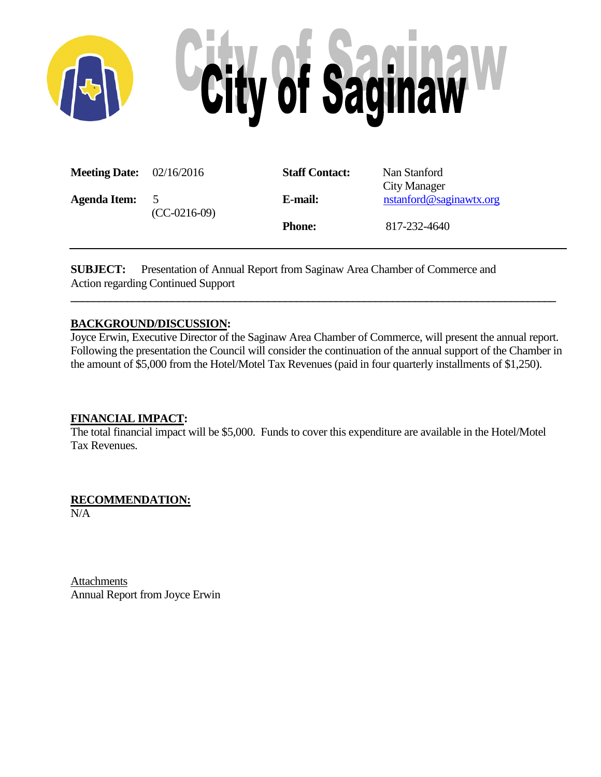

| <b>Meeting Date:</b> $02/16/2016$ |                                 | <b>Staff Contact:</b> | Nan Stanford<br>City Manager |
|-----------------------------------|---------------------------------|-----------------------|------------------------------|
| <b>Agenda Item:</b>               | $\mathcal{D}$<br>$(CC-0216-09)$ | E-mail:               | nstanford@saginawtx.org      |
|                                   |                                 | <b>Phone:</b>         | 817-232-4640                 |

**SUBJECT:** Presentation of Annual Report from Saginaw Area Chamber of Commerce and Action regarding Continued Support

#### **BACKGROUND/DISCUSSION:**

Joyce Erwin, Executive Director of the Saginaw Area Chamber of Commerce, will present the annual report. Following the presentation the Council will consider the continuation of the annual support of the Chamber in the amount of \$5,000 from the Hotel/Motel Tax Revenues (paid in four quarterly installments of \$1,250).

**\_\_\_\_\_\_\_\_\_\_\_\_\_\_\_\_\_\_\_\_\_\_\_\_\_\_\_\_\_\_\_\_\_\_\_\_\_\_\_\_\_\_\_\_\_\_\_\_\_\_\_\_\_\_\_\_\_\_\_\_\_\_\_\_\_\_\_\_\_\_\_\_\_\_\_\_\_\_\_\_\_\_\_\_\_\_**

#### **FINANCIAL IMPACT:**

The total financial impact will be \$5,000. Funds to cover this expenditure are available in the Hotel/Motel Tax Revenues.

**RECOMMENDATION:**

N/A

**Attachments** Annual Report from Joyce Erwin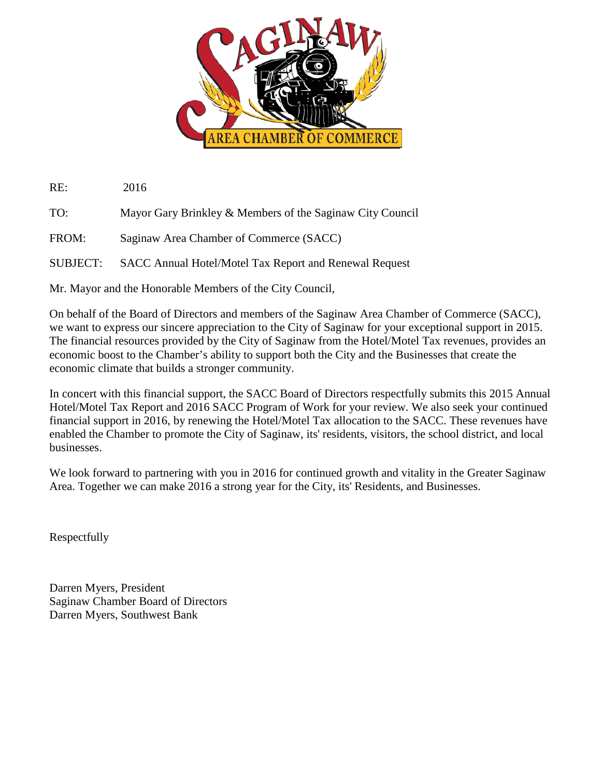

RE: 2016

TO: Mayor Gary Brinkley & Members of the Saginaw City Council

FROM: Saginaw Area Chamber of Commerce (SACC)

SUBJECT: SACC Annual Hotel/Motel Tax Report and Renewal Request

Mr. Mayor and the Honorable Members of the City Council,

On behalf of the Board of Directors and members of the Saginaw Area Chamber of Commerce (SACC), we want to express our sincere appreciation to the City of Saginaw for your exceptional support in 2015. The financial resources provided by the City of Saginaw from the Hotel/Motel Tax revenues, provides an economic boost to the Chamber's ability to support both the City and the Businesses that create the economic climate that builds a stronger community.

In concert with this financial support, the SACC Board of Directors respectfully submits this 2015 Annual Hotel/Motel Tax Report and 2016 SACC Program of Work for your review. We also seek your continued financial support in 2016, by renewing the Hotel/Motel Tax allocation to the SACC. These revenues have enabled the Chamber to promote the City of Saginaw, its' residents, visitors, the school district, and local businesses.

We look forward to partnering with you in 2016 for continued growth and vitality in the Greater Saginaw Area. Together we can make 2016 a strong year for the City, its' Residents, and Businesses.

Respectfully

Darren Myers, President Saginaw Chamber Board of Directors Darren Myers, Southwest Bank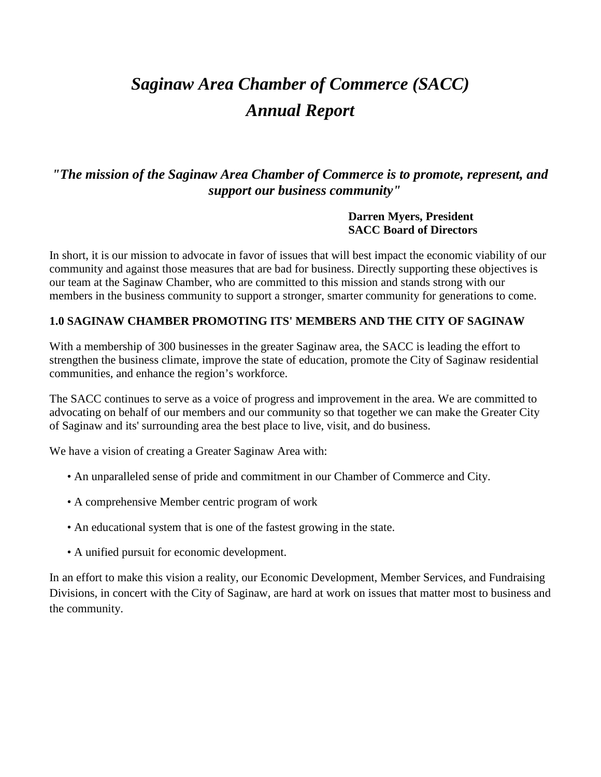# *Saginaw Area Chamber of Commerce (SACC) Annual Report*

## *"The mission of the Saginaw Area Chamber of Commerce is to promote, represent, and support our business community"*

#### **Darren Myers, President SACC Board of Directors**

In short, it is our mission to advocate in favor of issues that will best impact the economic viability of our community and against those measures that are bad for business. Directly supporting these objectives is our team at the Saginaw Chamber, who are committed to this mission and stands strong with our members in the business community to support a stronger, smarter community for generations to come.

#### **1.0 SAGINAW CHAMBER PROMOTING ITS' MEMBERS AND THE CITY OF SAGINAW**

With a membership of 300 businesses in the greater Saginaw area, the SACC is leading the effort to strengthen the business climate, improve the state of education, promote the City of Saginaw residential communities, and enhance the region's workforce.

The SACC continues to serve as a voice of progress and improvement in the area. We are committed to advocating on behalf of our members and our community so that together we can make the Greater City of Saginaw and its' surrounding area the best place to live, visit, and do business.

We have a vision of creating a Greater Saginaw Area with:

- An unparalleled sense of pride and commitment in our Chamber of Commerce and City.
- A comprehensive Member centric program of work
- An educational system that is one of the fastest growing in the state.
- A unified pursuit for economic development.

In an effort to make this vision a reality, our Economic Development, Member Services, and Fundraising Divisions, in concert with the City of Saginaw, are hard at work on issues that matter most to business and the community.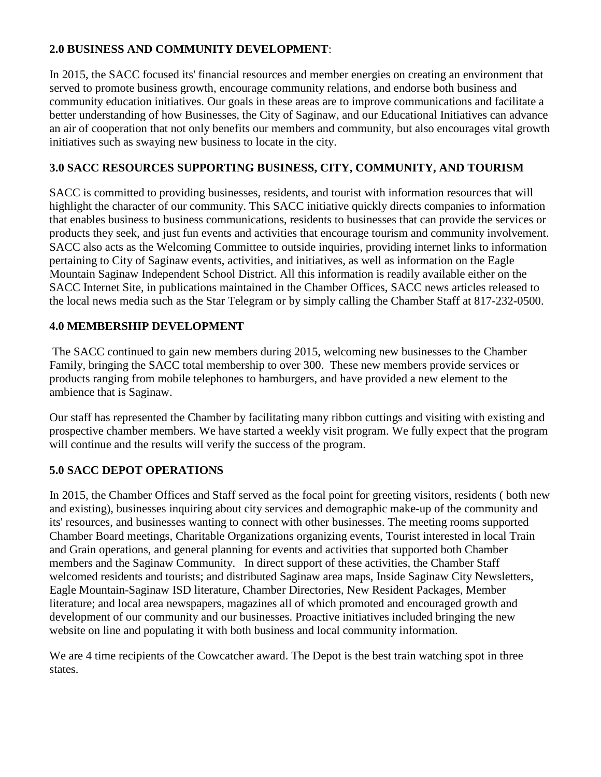### **2.0 BUSINESS AND COMMUNITY DEVELOPMENT**:

In 2015, the SACC focused its' financial resources and member energies on creating an environment that served to promote business growth, encourage community relations, and endorse both business and community education initiatives. Our goals in these areas are to improve communications and facilitate a better understanding of how Businesses, the City of Saginaw, and our Educational Initiatives can advance an air of cooperation that not only benefits our members and community, but also encourages vital growth initiatives such as swaying new business to locate in the city.

#### **3.0 SACC RESOURCES SUPPORTING BUSINESS, CITY, COMMUNITY, AND TOURISM**

SACC is committed to providing businesses, residents, and tourist with information resources that will highlight the character of our community. This SACC initiative quickly directs companies to information that enables business to business communications, residents to businesses that can provide the services or products they seek, and just fun events and activities that encourage tourism and community involvement. SACC also acts as the Welcoming Committee to outside inquiries, providing internet links to information pertaining to City of Saginaw events, activities, and initiatives, as well as information on the Eagle Mountain Saginaw Independent School District. All this information is readily available either on the SACC Internet Site, in publications maintained in the Chamber Offices, SACC news articles released to the local news media such as the Star Telegram or by simply calling the Chamber Staff at 817-232-0500.

#### **4.0 MEMBERSHIP DEVELOPMENT**

The SACC continued to gain new members during 2015, welcoming new businesses to the Chamber Family, bringing the SACC total membership to over 300. These new members provide services or products ranging from mobile telephones to hamburgers, and have provided a new element to the ambience that is Saginaw.

Our staff has represented the Chamber by facilitating many ribbon cuttings and visiting with existing and prospective chamber members. We have started a weekly visit program. We fully expect that the program will continue and the results will verify the success of the program.

#### **5.0 SACC DEPOT OPERATIONS**

In 2015, the Chamber Offices and Staff served as the focal point for greeting visitors, residents ( both new and existing), businesses inquiring about city services and demographic make-up of the community and its' resources, and businesses wanting to connect with other businesses. The meeting rooms supported Chamber Board meetings, Charitable Organizations organizing events, Tourist interested in local Train and Grain operations, and general planning for events and activities that supported both Chamber members and the Saginaw Community. In direct support of these activities, the Chamber Staff welcomed residents and tourists; and distributed Saginaw area maps, Inside Saginaw City Newsletters, Eagle Mountain-Saginaw ISD literature, Chamber Directories, New Resident Packages, Member literature; and local area newspapers, magazines all of which promoted and encouraged growth and development of our community and our businesses. Proactive initiatives included bringing the new website on line and populating it with both business and local community information.

We are 4 time recipients of the Cowcatcher award. The Depot is the best train watching spot in three states.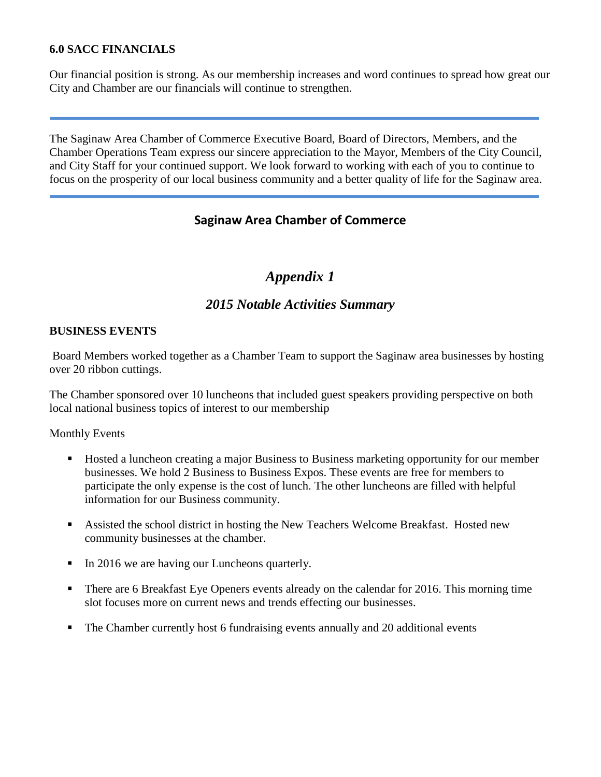#### **6.0 SACC FINANCIALS**

Our financial position is strong. As our membership increases and word continues to spread how great our City and Chamber are our financials will continue to strengthen.

The Saginaw Area Chamber of Commerce Executive Board, Board of Directors, Members, and the Chamber Operations Team express our sincere appreciation to the Mayor, Members of the City Council, and City Staff for your continued support. We look forward to working with each of you to continue to focus on the prosperity of our local business community and a better quality of life for the Saginaw area.

## **Saginaw Area Chamber of Commerce**

## *Appendix 1*

### *2015 Notable Activities Summary*

#### **BUSINESS EVENTS**

Board Members worked together as a Chamber Team to support the Saginaw area businesses by hosting over 20 ribbon cuttings.

The Chamber sponsored over 10 luncheons that included guest speakers providing perspective on both local national business topics of interest to our membership

Monthly Events

- Hosted a luncheon creating a major Business to Business marketing opportunity for our member businesses. We hold 2 Business to Business Expos. These events are free for members to participate the only expense is the cost of lunch. The other luncheons are filled with helpful information for our Business community.
- Assisted the school district in hosting the New Teachers Welcome Breakfast. Hosted new community businesses at the chamber.
- In 2016 we are having our Luncheons quarterly.
- There are 6 Breakfast Eye Openers events already on the calendar for 2016. This morning time slot focuses more on current news and trends effecting our businesses.
- The Chamber currently host 6 fundraising events annually and 20 additional events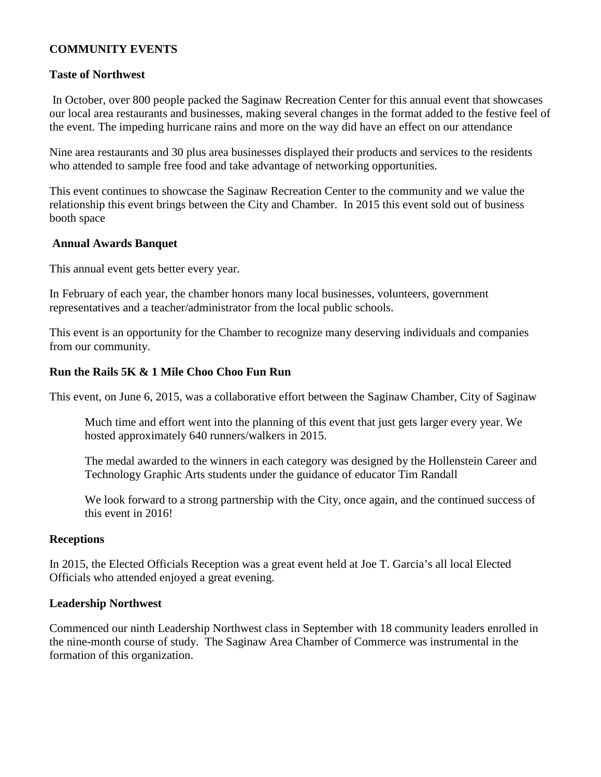#### **COMMUNITY EVENTS**

#### **Taste of Northwest**

In October, over 800 people packed the Saginaw Recreation Center for this annual event that showcases our local area restaurants and businesses, making several changes in the format added to the festive feel of the event. The impeding hurricane rains and more on the way did have an effect on our attendance

Nine area restaurants and 30 plus area businesses displayed their products and services to the residents who attended to sample free food and take advantage of networking opportunities.

This event continues to showcase the Saginaw Recreation Center to the community and we value the relationship this event brings between the City and Chamber. In 2015 this event sold out of business booth space

#### **Annual Awards Banquet**

This annual event gets better every year.

In February of each year, the chamber honors many local businesses, volunteers, government representatives and a teacher/administrator from the local public schools.

This event is an opportunity for the Chamber to recognize many deserving individuals and companies from our community.

#### **Run the Rails 5K & 1 Mile Choo Choo Fun Run**

This event, on June 6, 2015, was a collaborative effort between the Saginaw Chamber, City of Saginaw

Much time and effort went into the planning of this event that just gets larger every year. We hosted approximately 640 runners/walkers in 2015.

The medal awarded to the winners in each category was designed by the Hollenstein Career and Technology Graphic Arts students under the guidance of educator Tim Randall

We look forward to a strong partnership with the City, once again, and the continued success of this event in 2016!

#### **Receptions**

In 2015, the Elected Officials Reception was a great event held at Joe T. Garcia's all local Elected Officials who attended enjoyed a great evening.

#### **Leadership Northwest**

Commenced our ninth Leadership Northwest class in September with 18 community leaders enrolled in the nine-month course of study. The Saginaw Area Chamber of Commerce was instrumental in the formation of this organization.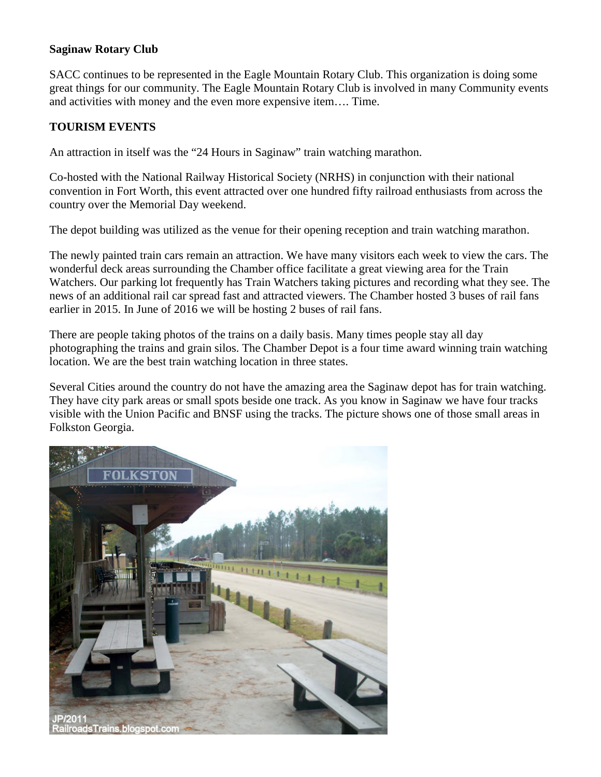#### **Saginaw Rotary Club**

SACC continues to be represented in the Eagle Mountain Rotary Club. This organization is doing some great things for our community. The Eagle Mountain Rotary Club is involved in many Community events and activities with money and the even more expensive item…. Time.

#### **TOURISM EVENTS**

An attraction in itself was the "24 Hours in Saginaw" train watching marathon.

Co-hosted with the National Railway Historical Society (NRHS) in conjunction with their national convention in Fort Worth, this event attracted over one hundred fifty railroad enthusiasts from across the country over the Memorial Day weekend.

The depot building was utilized as the venue for their opening reception and train watching marathon.

The newly painted train cars remain an attraction. We have many visitors each week to view the cars. The wonderful deck areas surrounding the Chamber office facilitate a great viewing area for the Train Watchers. Our parking lot frequently has Train Watchers taking pictures and recording what they see. The news of an additional rail car spread fast and attracted viewers. The Chamber hosted 3 buses of rail fans earlier in 2015. In June of 2016 we will be hosting 2 buses of rail fans.

There are people taking photos of the trains on a daily basis. Many times people stay all day photographing the trains and grain silos. The Chamber Depot is a four time award winning train watching location. We are the best train watching location in three states.

Several Cities around the country do not have the amazing area the Saginaw depot has for train watching. They have city park areas or small spots beside one track. As you know in Saginaw we have four tracks visible with the Union Pacific and BNSF using the tracks. The picture shows one of those small areas in Folkston Georgia.

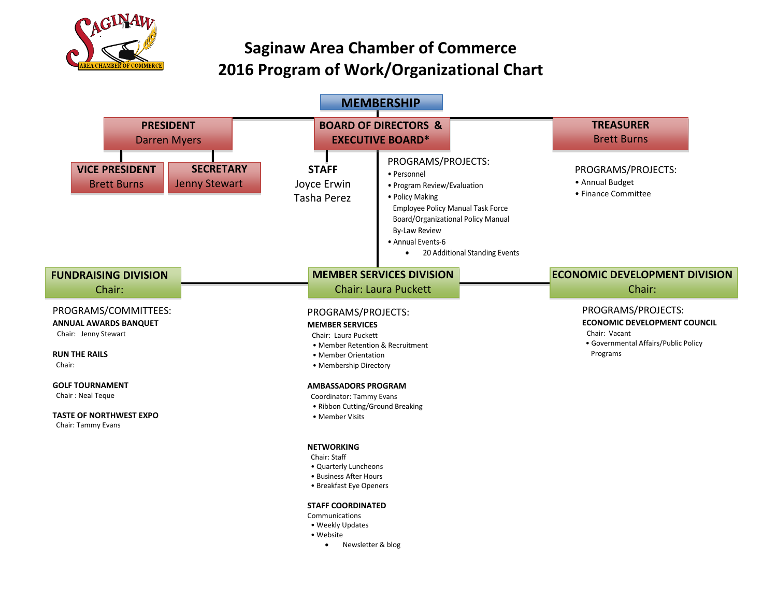

## **Saginaw Area Chamber of Commerce 2016 Program of Work/Organizational Chart**



- Website
	- Newsletter & blog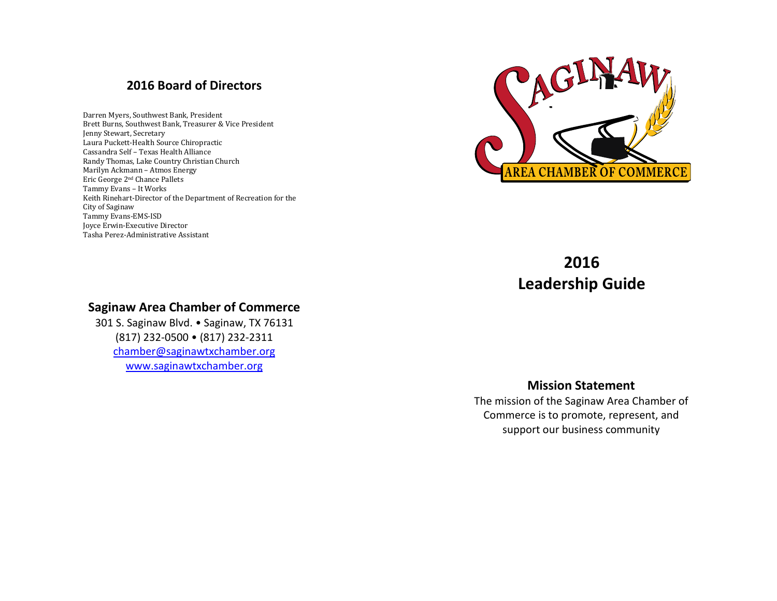## **2016 Board of Directors**

Darren Myers, Southwest Bank, President Brett Burns, Southwest Bank, Treasurer & Vice President Jenny Stewart, Secretary Laura Puckett-Health Source Chiropractic Cassandra Self – Texas Health Alliance Randy Thomas, Lake Country Christian Church Marilyn Ackmann – Atmos Energy Eric George 2nd Chance Pallets Tammy Evans – It Works Keith Rinehart-Director of the Department of Recreation for the City of Saginaw Tammy Evans-EMS-ISD Joyce Erwin-Executive Director Tasha Perez-Administrative Assistant



## **2016 Leadership Guide**

## **Saginaw Area Chamber of Commerce**

301 S. Saginaw Blvd. • Saginaw, TX 76131 (817) 232-0500 • (817) 232-2311 [chamber@saginawtxchamber.org](mailto:chamber@saginawtxchamber.org) [www.saginawtxchamber.org](http://www.saginawtxchamber.org/)

#### **Mission Statement**

The mission of the Saginaw Area Chamber of Commerce is to promote, represent, and support our business community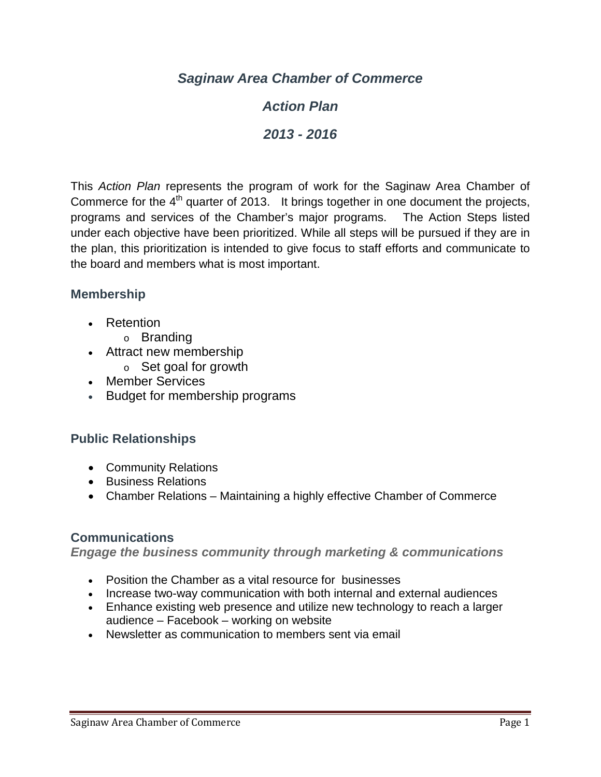*Saginaw Area Chamber of Commerce*

## *Action Plan*

*2013 - 2016*

This *Action Plan* represents the program of work for the Saginaw Area Chamber of Commerce for the  $4<sup>th</sup>$  quarter of 2013. It brings together in one document the projects, programs and services of the Chamber's major programs. The Action Steps listed under each objective have been prioritized. While all steps will be pursued if they are in the plan, this prioritization is intended to give focus to staff efforts and communicate to the board and members what is most important.

## **Membership**

- Retention
	- o Branding
- Attract new membership
	- o Set goal for growth
- Member Services
- Budget for membership programs

## **Public Relationships**

- Community Relations
- Business Relations
- Chamber Relations Maintaining a highly effective Chamber of Commerce

## **Communications**

*Engage the business community through marketing & communications*

- Position the Chamber as a vital resource for businesses
- Increase two-way communication with both internal and external audiences
- Enhance existing web presence and utilize new technology to reach a larger audience – Facebook – working on website
- Newsletter as communication to members sent via email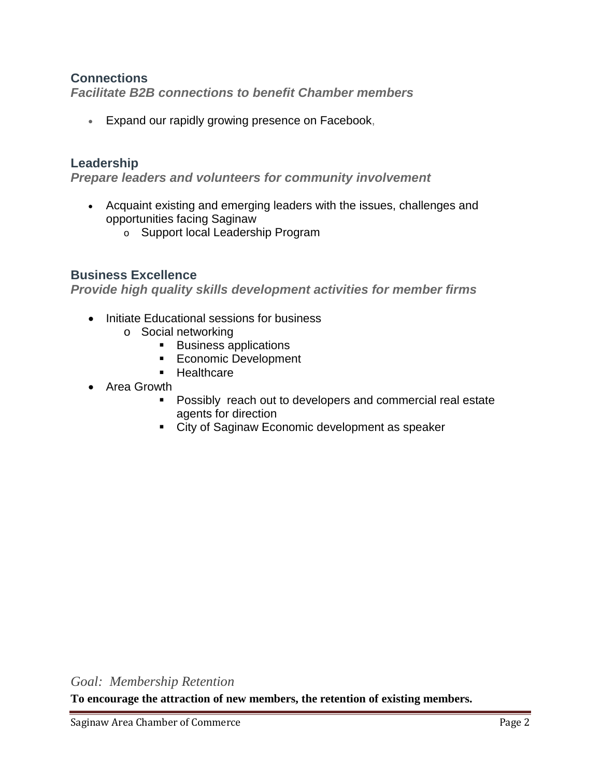## **Connections**

*Facilitate B2B connections to benefit Chamber members*

• Expand our rapidly growing presence on Facebook,

## **Leadership**

*Prepare leaders and volunteers for community involvement*

- Acquaint existing and emerging leaders with the issues, challenges and opportunities facing Saginaw
	- o Support local Leadership Program

## **Business Excellence**

*Provide high quality skills development activities for member firms*

- Initiate Educational sessions for business
	- o Social networking<br>International ∎
		- Business applications
		- **Economic Development**
		- **Healthcare**
- Area Growth
	- **Possibly reach out to developers and commercial real estate** agents for direction
	- City of Saginaw Economic development as speaker

*Goal: Membership Retention*

**To encourage the attraction of new members, the retention of existing members.**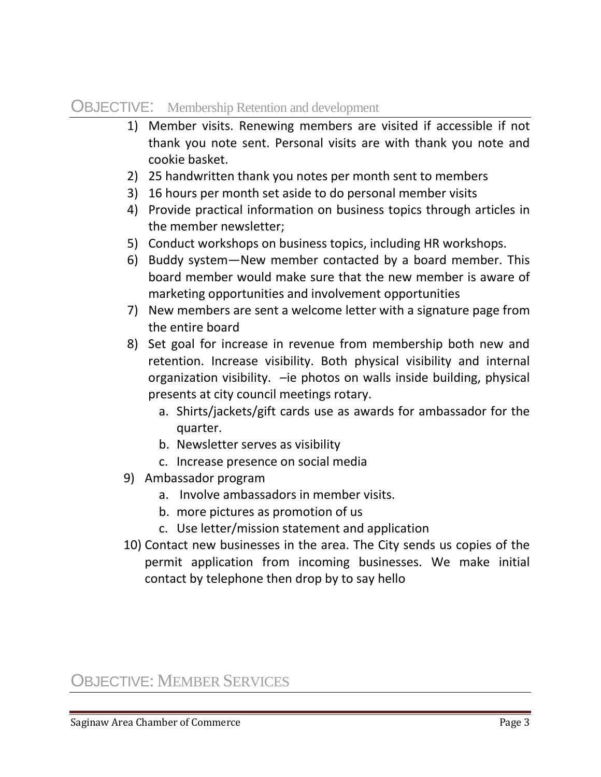## OBJECTIVE: Membership Retention and development

- 1) Member visits. Renewing members are visited if accessible if not thank you note sent. Personal visits are with thank you note and cookie basket.
- 2) 25 handwritten thank you notes per month sent to members
- 3) 16 hours per month set aside to do personal member visits
- 4) Provide practical information on business topics through articles in the member newsletter;
- 5) Conduct workshops on business topics, including HR workshops.
- 6) Buddy system—New member contacted by a board member. This board member would make sure that the new member is aware of marketing opportunities and involvement opportunities
- 7) New members are sent a welcome letter with a signature page from the entire board
- 8) Set goal for increase in revenue from membership both new and retention. Increase visibility. Both physical visibility and internal organization visibility. –ie photos on walls inside building, physical presents at city council meetings rotary.
	- a. Shirts/jackets/gift cards use as awards for ambassador for the quarter.
	- b. Newsletter serves as visibility
	- c. Increase presence on social media
- 9) Ambassador program
	- a. Involve ambassadors in member visits.
	- b. more pictures as promotion of us
	- c. Use letter/mission statement and application
- 10) Contact new businesses in the area. The City sends us copies of the permit application from incoming businesses. We make initial contact by telephone then drop by to say hello

OBJECTIVE: MEMBER SERVICES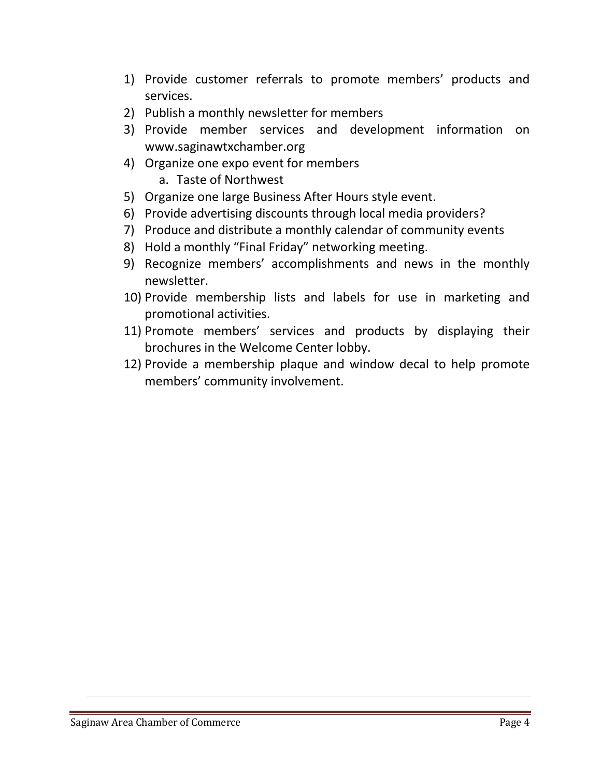- 1) Provide customer referrals to promote members' products and services.
- 2) Publish a monthly newsletter for members
- 3) Provide member services and development information on www.saginawtxchamber.org
- 4) Organize one expo event for members
	- a. Taste of Northwest
- 5) Organize one large Business After Hours style event.
- 6) Provide advertising discounts through local media providers?
- 7) Produce and distribute a monthly calendar of community events
- 8) Hold a monthly "Final Friday" networking meeting.
- 9) Recognize members' accomplishments and news in the monthly newsletter.
- 10) Provide membership lists and labels for use in marketing and promotional activities.
- 11) Promote members' services and products by displaying their brochures in the Welcome Center lobby.
- 12) Provide a membership plaque and window decal to help promote members' community involvement.